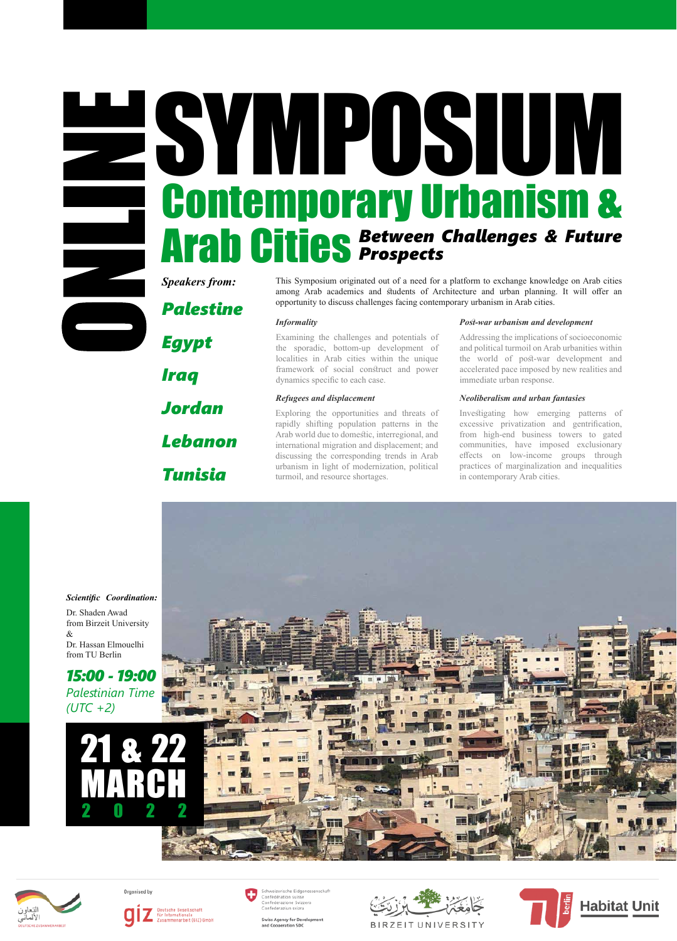*Palestine*

### SYMPOSIUM Contemporary Urbanism & Arab Cities *Between Challenges & Future Prospects*

*Egypt Iraq Jordan Lebanon* 

*Tunisia*

### *Scientific Coordination:*

Dr. Shaden Awad from Birzeit University & Dr. Hassan Elmouelhi from TU Berlin



Exploring the opportunities and threats of rapidly shifting population patterns in the Arab world due to domestic, interregional, and international migration and displacement; and discussing the corresponding trends in Arab urbanism in light of modernization, political turmoil, and resource shortages.

Examining the challenges and potentials of the sporadic, bottom-up development of localities in Arab cities within the unique framework of social construct and power dynamics specific to each case.

# 21 & 22 MARCH 2022



Organised by



Schweizerische Eidgenossenschaft Confédération suisse<br>Confederazione Svizzera Confederaziun svizra

> **Swiss Agency for Developmen** and Cooperation SDC



BIRZEIT UNIVERSITY



**Speakers from:** This Symposium originated out of a need for a platform to exchange knowledge on Arab cities among Arab academics and students of Architecture and urban planning. It will offer an opportunity to discuss challenges facing contemporary urbanism in Arab cities.

> Investigating how emerging patterns of excessive privatization and gentrification, from high-end business towers to gated communities, have imposed exclusionary effects on low-income groups through practices of marginalization and inequalities in contemporary Arab cities.



### *Neoliberalism and urban fantasies*

### *Informality*

Addressing the implications of socioeconomic and political turmoil on Arab urbanities within the world of post-war development and accelerated pace imposed by new realities and immediate urban response.

### *Post-war urbanism and development*

### *Refugees and displacement*